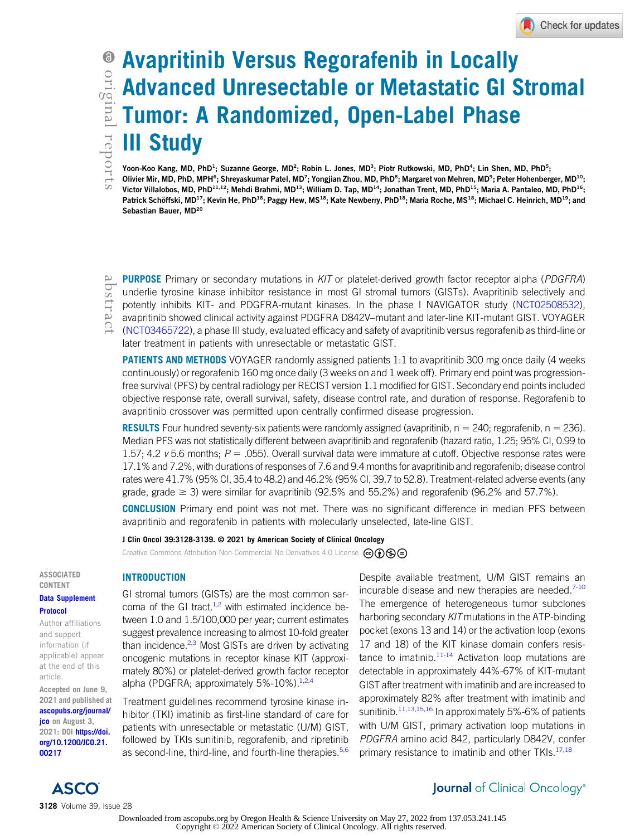# Avapritinib Versus Regorafenib in Locally Advanced Unresectable or Metastatic GI Stromal Tumor: A Randomized, Open-Label Phase III Study

Yoon-Koo Kang, MD, PhD<sup>1</sup>; Suzanne George, MD<sup>2</sup>; Robin L. Jones, MD<sup>3</sup>; Piotr Rutkowski, MD, PhD<sup>4</sup>; Lin Shen, MD, PhD<sup>5</sup>; Olivier Mir, MD, PhD, MPH<sup>6</sup>; Shreyaskumar Patel, MD<sup>7</sup>; Yongjian Zhou, MD, PhD<sup>8</sup>; Margaret von Mehren, MD<sup>9</sup>; Peter Hohenberger, MD<sup>10</sup>; Victor Villalobos, MD, PhD $^{11,12}$ ; Mehdi Brahmi, MD $^{13}$ ; William D. Tap, MD $^{14}$ ; Jonathan Trent, MD, PhD $^{15}$ ; Maria A. Pantaleo, MD, PhD $^{16}$ ; Patrick Schöffski, MD<sup>17</sup>; Kevin He, PhD<sup>18</sup>; Paggy Hew, MS<sup>18</sup>; Kate Newberry, PhD<sup>18</sup>; Maria Roche, MS<sup>18</sup>; Michael C. Heinrich, MD<sup>19</sup>; and Sebastian Bauer, MD<sup>20</sup>

PURPOSE Primary or secondary mutations in KIT or platelet-derived growth factor receptor alpha (PDGFRA) underlie tyrosine kinase inhibitor resistance in most GI stromal tumors (GISTs). Avapritinib selectively and potently inhibits KIT- and PDGFRA-mutant kinases. In the phase I NAVIGATOR study ([NCT02508532](https://www.clinicaltrials.gov/ct2/show/NCT02508532)), avapritinib showed clinical activity against PDGFRA D842V–mutant and later-line KIT-mutant GIST. VOYAGER ([NCT03465722](https://www.clinicaltrials.gov/ct2/show/NCT03465722)), a phase III study, evaluated efficacy and safety of avapritinib versus regorafenib as third-line or later treatment in patients with unresectable or metastatic GIST.

**PATIENTS AND METHODS** VOYAGER randomly assigned patients 1:1 to avapritinib 300 mg once daily (4 weeks continuously) or regorafenib 160 mg once daily (3 weeks on and 1 week off). Primary end point was progressionfree survival (PFS) by central radiology per RECIST version 1.1 modified for GIST. Secondary end points included objective response rate, overall survival, safety, disease control rate, and duration of response. Regorafenib to avapritinib crossover was permitted upon centrally confirmed disease progression.

**RESULTS** Four hundred seventy-six patients were randomly assigned (avapritinib,  $n = 240$ ; regorafenib,  $n = 236$ ). Median PFS was not statistically different between avapritinib and regorafenib (hazard ratio, 1.25; 95% CI, 0.99 to 1.57; 4.2  $v$  5.6 months;  $P = 0.055$ ). Overall survival data were immature at cutoff. Objective response rates were 17.1% and 7.2%, with durations of responses of 7.6 and 9.4 months for avapritinib and regorafenib; disease control rates were 41.7% (95% CI, 35.4 to 48.2) and 46.2% (95% CI, 39.7 to 52.8). Treatment-related adverse events (any grade, grade  $\geq$  3) were similar for avapritinib (92.5% and 55.2%) and regorafenib (96.2% and 57.7%).

**CONCLUSION** Primary end point was not met. There was no significant difference in median PFS between avapritinib and regorafenib in patients with molecularly unselected, late-line GIST.

#### J Clin Oncol 39:3128-3139. © 2021 by American Society of Clinical Oncology

Creative Commons Attribution Non-Commercial No Derivatives 4.0 License  $\circledcirc \bullet \circledcirc$ 

### ASSOCIATED CONTENT

#### [Data Supplement](https://ascopubs.org/doi/suppl/10.1200/JCO.21.00217) [Protocol](https://ascopubs.org/doi/suppl/10.1200/JCO.21.00217)

Author affiliations and support information (if applicable) appear at the end of this article.

Accepted on June 9, 2021 and published at [ascopubs.org/journal/](http://ascopubs.org/journal/jco) [jco](http://ascopubs.org/journal/jco) on August 3, 2021: DOI [https://doi.](http://ascopubs.org/doi/full/10.1200/JCO.21.00217) [org/10.1200/JCO.21.](http://ascopubs.org/doi/full/10.1200/JCO.21.00217) [00217](http://ascopubs.org/doi/full/10.1200/JCO.21.00217)

#### INTRODUCTION

GI stromal tumors (GISTs) are the most common sarcoma of the GI tract, $1,2$  $1,2$  with estimated incidence between 1.0 and 1.5/100,000 per year; current estimates suggest prevalence increasing to almost 10-fold greater than incidence. $^{2,3}$  $^{2,3}$  $^{2,3}$  Most GISTs are driven by activating oncogenic mutations in receptor kinase KIT (approximately 80%) or platelet-derived growth factor receptor alpha (PDGFRA; approximately 5%-10%).<sup>1,[2](#page-10-1)[,4](#page-10-3)</sup>

Treatment guidelines recommend tyrosine kinase inhibitor (TKI) imatinib as first-line standard of care for patients with unresectable or metastatic (U/M) GIST, followed by TKIs sunitinib, regorafenib, and ripretinib as second-line, third-line, and fourth-line therapies.<sup>[5](#page-10-4),[6](#page-10-5)</sup>

Despite available treatment, U/M GIST remains an incurable disease and new therapies are needed.<sup>[7](#page-10-6)[-10](#page-10-7)</sup> The emergence of heterogeneous tumor subclones harboring secondary KIT mutations in the ATP-binding pocket (exons 13 and 14) or the activation loop (exons 17 and 18) of the KIT kinase domain confers resistance to imatinib. $11-14$  $11-14$  Activation loop mutations are detectable in approximately 44%-67% of KIT-mutant GIST after treatment with imatinib and are increased to approximately 82% after treatment with imatinib and sunitinib.<sup>[11,](#page-10-8)[13](#page-10-10),[15](#page-10-11)[,16](#page-10-12)</sup> In approximately 5%-6% of patients with U/M GIST, primary activation loop mutations in PDGFRA amino acid 842, particularly D842V, confer primary resistance to imatinib and other TKIs.<sup>17,[18](#page-10-14)</sup>



### Journal of Clinical Oncology®

Downloaded from ascopubs.org by Oregon Health & Science University on May 27, 2022 from 137.053.241.145 Copyright © 2022 American Society of Clinical Oncology. All rights reserved.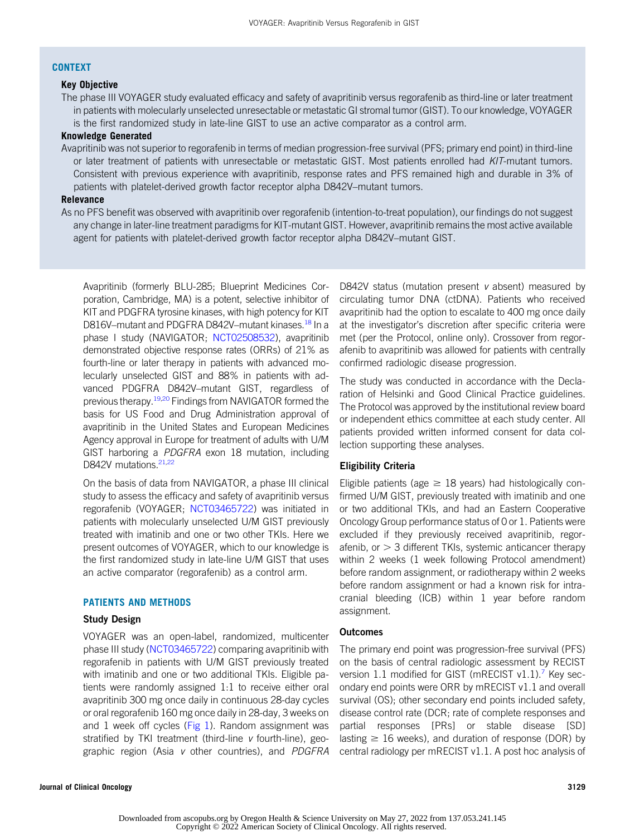#### **CONTEXT**

#### Key Objective

The phase III VOYAGER study evaluated efficacy and safety of avapritinib versus regorafenib as third-line or later treatment in patients with molecularly unselected unresectable or metastatic GI stromal tumor (GIST). To our knowledge, VOYAGER is the first randomized study in late-line GIST to use an active comparator as a control arm.

#### Knowledge Generated

Avapritinib was not superior to regorafenib in terms of median progression-free survival (PFS; primary end point) in third-line or later treatment of patients with unresectable or metastatic GIST. Most patients enrolled had KIT-mutant tumors. Consistent with previous experience with avapritinib, response rates and PFS remained high and durable in 3% of patients with platelet-derived growth factor receptor alpha D842V–mutant tumors.

#### Relevance

As no PFS benefit was observed with avapritinib over regorafenib (intention-to-treat population), our findings do not suggest any change in later-line treatment paradigms for KIT-mutant GIST. However, avapritinib remains the most active available agent for patients with platelet-derived growth factor receptor alpha D842V–mutant GIST.

Avapritinib (formerly BLU-285; Blueprint Medicines Corporation, Cambridge, MA) is a potent, selective inhibitor of KIT and PDGFRA tyrosine kinases, with high potency for KIT D816V–mutant and PDGFRA D842V–mutant kinases.<sup>18</sup> In a phase I study (NAVIGATOR; [NCT02508532](https://www.clinicaltrials.gov/ct2/show/NCT02508532)), avapritinib demonstrated objective response rates (ORRs) of 21% as fourth-line or later therapy in patients with advanced molecularly unselected GIST and 88% in patients with advanced PDGFRA D842V–mutant GIST, regardless of previous therapy.<sup>[19](#page-10-15),[20](#page-11-0)</sup> Findings from NAVIGATOR formed the basis for US Food and Drug Administration approval of avapritinib in the United States and European Medicines Agency approval in Europe for treatment of adults with U/M GIST harboring a PDGFRA exon 18 mutation, including D842V mutations.<sup>21[,22](#page-11-2)</sup>

On the basis of data from NAVIGATOR, a phase III clinical study to assess the efficacy and safety of avapritinib versus regorafenib (VOYAGER; [NCT03465722](https://www.clinicaltrials.gov/ct2/show/NCT03465722)) was initiated in patients with molecularly unselected U/M GIST previously treated with imatinib and one or two other TKIs. Here we present outcomes of VOYAGER, which to our knowledge is the first randomized study in late-line U/M GIST that uses an active comparator (regorafenib) as a control arm.

#### PATIENTS AND METHODS

#### Study Design

VOYAGER was an open-label, randomized, multicenter phase III study ([NCT03465722](https://www.clinicaltrials.gov/ct2/show/NCT03465722)) comparing avapritinib with regorafenib in patients with U/M GIST previously treated with imatinib and one or two additional TKIs. Eligible patients were randomly assigned 1:1 to receive either oral avapritinib 300 mg once daily in continuous 28-day cycles or oral regorafenib 160 mg once daily in 28-day, 3 weeks on and 1 week off cycles [\(Fig 1](#page-2-0)). Random assignment was stratified by TKI treatment (third-line v fourth-line), geographic region (Asia v other countries), and *PDGFRA* 

D842V status (mutation present v absent) measured by circulating tumor DNA (ctDNA). Patients who received avapritinib had the option to escalate to 400 mg once daily at the investigator's discretion after specific criteria were met (per the Protocol, online only). Crossover from regorafenib to avapritinib was allowed for patients with centrally confirmed radiologic disease progression.

The study was conducted in accordance with the Declaration of Helsinki and Good Clinical Practice guidelines. The Protocol was approved by the institutional review board or independent ethics committee at each study center. All patients provided written informed consent for data collection supporting these analyses.

#### Eligibility Criteria

Eligible patients (age  $\geq$  18 years) had histologically confirmed U/M GIST, previously treated with imatinib and one or two additional TKIs, and had an Eastern Cooperative Oncology Group performance status of 0 or 1. Patients were excluded if they previously received avapritinib, regorafenib, or  $>$  3 different TKIs, systemic anticancer therapy within 2 weeks (1 week following Protocol amendment) before random assignment, or radiotherapy within 2 weeks before random assignment or had a known risk for intracranial bleeding (ICB) within 1 year before random assignment.

#### **Outcomes**

The primary end point was progression-free survival (PFS) on the basis of central radiologic assessment by RECIST version  $1.1$  modified for GIST (mRECIST  $v1.1$ ).<sup>[7](#page-10-6)</sup> Key secondary end points were ORR by mRECIST v1.1 and overall survival (OS); other secondary end points included safety, disease control rate (DCR; rate of complete responses and partial responses [PRs] or stable disease [SD] lasting  $\geq 16$  weeks), and duration of response (DOR) by central radiology per mRECIST v1.1. A post hoc analysis of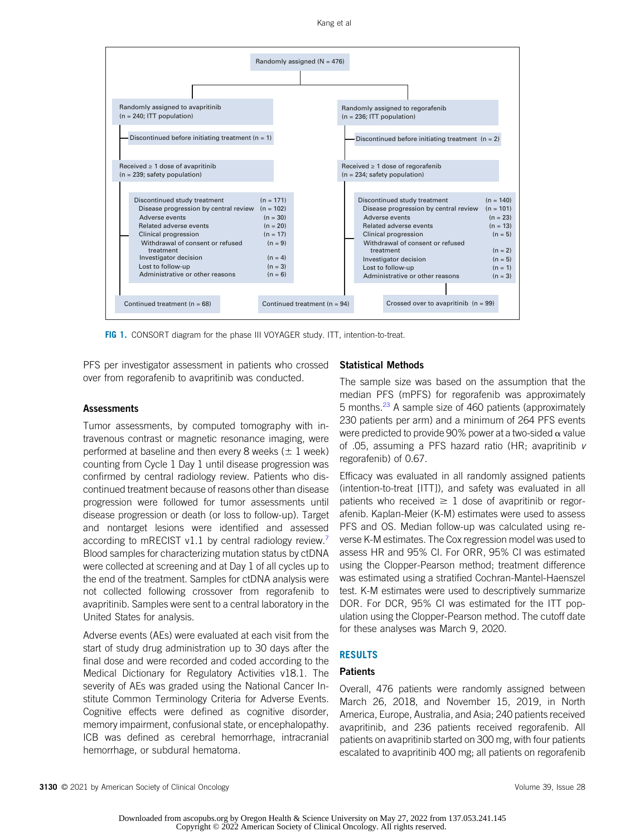Kang et al



<span id="page-2-0"></span>FIG 1. CONSORT diagram for the phase III VOYAGER study. ITT, intention-to-treat.

PFS per investigator assessment in patients who crossed over from regorafenib to avapritinib was conducted.

#### **Assessments**

Tumor assessments, by computed tomography with intravenous contrast or magnetic resonance imaging, were performed at baseline and then every 8 weeks ( $\pm$  1 week) counting from Cycle 1 Day 1 until disease progression was confirmed by central radiology review. Patients who discontinued treatment because of reasons other than disease progression were followed for tumor assessments until disease progression or death (or loss to follow-up). Target and nontarget lesions were identified and assessed according to mRECIST v1.1 by central radiology review.<sup>7</sup> Blood samples for characterizing mutation status by ctDNA were collected at screening and at Day 1 of all cycles up to the end of the treatment. Samples for ctDNA analysis were not collected following crossover from regorafenib to avapritinib. Samples were sent to a central laboratory in the United States for analysis.

Adverse events (AEs) were evaluated at each visit from the start of study drug administration up to 30 days after the final dose and were recorded and coded according to the Medical Dictionary for Regulatory Activities v18.1. The severity of AEs was graded using the National Cancer Institute Common Terminology Criteria for Adverse Events. Cognitive effects were defined as cognitive disorder, memory impairment, confusional state, or encephalopathy. ICB was defined as cerebral hemorrhage, intracranial hemorrhage, or subdural hematoma.

#### Statistical Methods

The sample size was based on the assumption that the median PFS (mPFS) for regorafenib was approximately 5 months.<sup>[23](#page-11-3)</sup> A sample size of 460 patients (approximately 230 patients per arm) and a minimum of 264 PFS events were predicted to provide 90% power at a two-sided  $\alpha$  value of .05, assuming a PFS hazard ratio (HR; avapritinib v regorafenib) of 0.67.

Efficacy was evaluated in all randomly assigned patients (intention-to-treat [ITT]), and safety was evaluated in all patients who received  $\geq 1$  dose of avapritinib or regorafenib. Kaplan-Meier (K-M) estimates were used to assess PFS and OS. Median follow-up was calculated using reverse K-M estimates. The Cox regression model was used to assess HR and 95% CI. For ORR, 95% CI was estimated using the Clopper-Pearson method; treatment difference was estimated using a stratified Cochran-Mantel-Haenszel test. K-M estimates were used to descriptively summarize DOR. For DCR, 95% CI was estimated for the ITT population using the Clopper-Pearson method. The cutoff date for these analyses was March 9, 2020.

#### RESULTS

#### **Patients**

Overall, 476 patients were randomly assigned between March 26, 2018, and November 15, 2019, in North America, Europe, Australia, and Asia; 240 patients received avapritinib, and 236 patients received regorafenib. All patients on avapritinib started on 300 mg, with four patients escalated to avapritinib 400 mg; all patients on regorafenib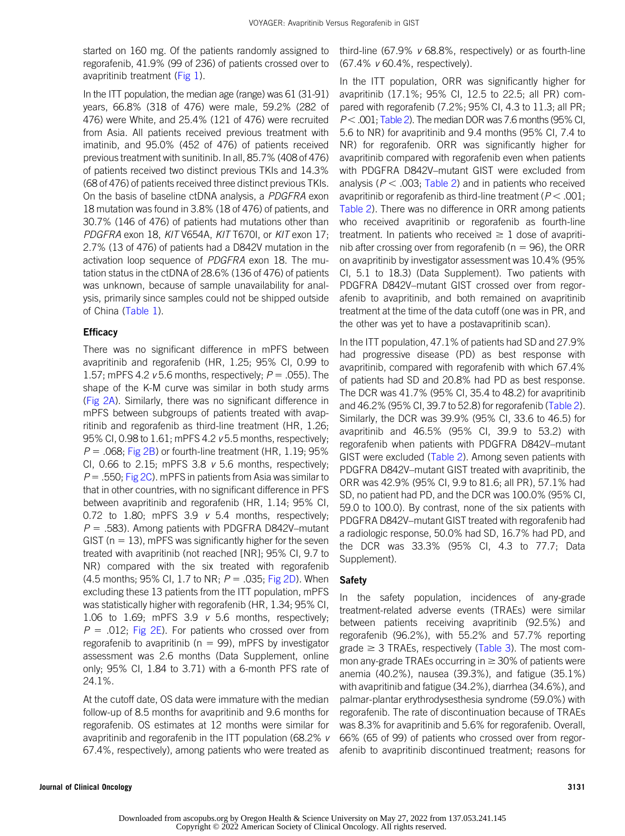started on 160 mg. Of the patients randomly assigned to regorafenib, 41.9% (99 of 236) of patients crossed over to avapritinib treatment [\(Fig 1\)](#page-2-0).

In the ITT population, the median age (range) was 61 (31-91) years, 66.8% (318 of 476) were male, 59.2% (282 of 476) were White, and 25.4% (121 of 476) were recruited from Asia. All patients received previous treatment with imatinib, and 95.0% (452 of 476) of patients received previous treatment with sunitinib. In all, 85.7% (408 of 476) of patients received two distinct previous TKIs and 14.3% (68 of 476) of patients received three distinct previous TKIs. On the basis of baseline ctDNA analysis, a PDGFRA exon 18 mutation was found in 3.8% (18 of 476) of patients, and 30.7% (146 of 476) of patients had mutations other than PDGFRA exon 18, KIT V654A, KIT T670I, or KIT exon 17; 2.7% (13 of 476) of patients had a D842V mutation in the activation loop sequence of PDGFRA exon 18. The mutation status in the ctDNA of 28.6% (136 of 476) of patients was unknown, because of sample unavailability for analysis, primarily since samples could not be shipped outside of China [\(Table 1\)](#page-4-0).

#### **Efficacy**

There was no significant difference in mPFS between avapritinib and regorafenib (HR, 1.25; 95% CI, 0.99 to 1.57; mPFS 4.2  $v$  5.6 months, respectively;  $P = .055$ ). The shape of the K-M curve was similar in both study arms ([Fig 2A\)](#page-6-0). Similarly, there was no significant difference in mPFS between subgroups of patients treated with avapritinib and regorafenib as third-line treatment (HR, 1.26; 95% CI, 0.98 to 1.61; mPFS 4.2 v 5.5 months, respectively;  $P = 0.068$ ; [Fig 2B\)](#page-6-0) or fourth-line treatment (HR, 1.19; 95% CI, 0.66 to 2.15; mPFS 3.8  $v$  5.6 months, respectively;  $P = .550$ ; [Fig 2C](#page-6-0)). mPFS in patients from Asia was similar to that in other countries, with no significant difference in PFS between avapritinib and regorafenib (HR, 1.14; 95% CI, 0.72 to 1.80; mPFS 3.9  $v$  5.4 months, respectively;  $P = .583$ ). Among patients with PDGFRA D842V–mutant GIST ( $n = 13$ ), mPFS was significantly higher for the seven treated with avapritinib (not reached [NR]; 95% CI, 9.7 to NR) compared with the six treated with regorafenib (4.5 months; 95% CI, 1.7 to NR;  $P = .035$ ; [Fig 2D\)](#page-6-0). When excluding these 13 patients from the ITT population, mPFS was statistically higher with regorafenib (HR, 1.34; 95% CI, 1.06 to 1.69; mPFS 3.9  $v$  5.6 months, respectively;  $P = .012$ ; [Fig 2E](#page-6-0)). For patients who crossed over from regorafenib to avapritinib ( $n = 99$ ), mPFS by investigator assessment was 2.6 months (Data Supplement, online only; 95% CI, 1.84 to 3.71) with a 6-month PFS rate of 24.1%.

At the cutoff date, OS data were immature with the median follow-up of 8.5 months for avapritinib and 9.6 months for regorafenib. OS estimates at 12 months were similar for avapritinib and regorafenib in the ITT population (68.2% v 67.4%, respectively), among patients who were treated as

third-line (67.9%  $v$  68.8%, respectively) or as fourth-line (67.4% v 60.4%, respectively).

In the ITT population, ORR was significantly higher for avapritinib (17.1%; 95% CI, 12.5 to 22.5; all PR) compared with regorafenib (7.2%; 95% CI, 4.3 to 11.3; all PR;  $P < .001$ ; [Table 2\)](#page-7-0). The median DOR was 7.6 months (95% CI, 5.6 to NR) for avapritinib and 9.4 months (95% CI, 7.4 to NR) for regorafenib. ORR was significantly higher for avapritinib compared with regorafenib even when patients with PDGFRA D842V–mutant GIST were excluded from analysis ( $P < .003$ ; [Table 2\)](#page-7-0) and in patients who received avapritinib or regorafenib as third-line treatment ( $P < .001$ ; [Table 2\)](#page-7-0). There was no difference in ORR among patients who received avapritinib or regorafenib as fourth-line treatment. In patients who received  $\geq 1$  dose of avapritinib after crossing over from regorafenib ( $n = 96$ ), the ORR on avapritinib by investigator assessment was 10.4% (95% CI, 5.1 to 18.3) (Data Supplement). Two patients with PDGFRA D842V–mutant GIST crossed over from regorafenib to avapritinib, and both remained on avapritinib treatment at the time of the data cutoff (one was in PR, and the other was yet to have a postavapritinib scan).

In the ITT population, 47.1% of patients had SD and 27.9% had progressive disease (PD) as best response with avapritinib, compared with regorafenib with which 67.4% of patients had SD and 20.8% had PD as best response. The DCR was 41.7% (95% CI, 35.4 to 48.2) for avapritinib and 46.2% (95% CI, 39.7 to 52.8) for regorafenib [\(Table 2](#page-7-0)). Similarly, the DCR was 39.9% (95% CI, 33.6 to 46.5) for avapritinib and 46.5% (95% CI, 39.9 to 53.2) with regorafenib when patients with PDGFRA D842V–mutant GIST were excluded [\(Table 2](#page-7-0)). Among seven patients with PDGFRA D842V–mutant GIST treated with avapritinib, the ORR was 42.9% (95% CI, 9.9 to 81.6; all PR), 57.1% had SD, no patient had PD, and the DCR was 100.0% (95% CI, 59.0 to 100.0). By contrast, none of the six patients with PDGFRA D842V–mutant GIST treated with regorafenib had a radiologic response, 50.0% had SD, 16.7% had PD, and the DCR was 33.3% (95% CI, 4.3 to 77.7; Data Supplement).

#### Safety

In the safety population, incidences of any-grade treatment-related adverse events (TRAEs) were similar between patients receiving avapritinib (92.5%) and regorafenib (96.2%), with 55.2% and 57.7% reporting grade  $\geq$  3 TRAEs, respectively ([Table 3](#page-8-0)). The most common any-grade TRAEs occurring in  $\geq$  30% of patients were anemia (40.2%), nausea (39.3%), and fatigue (35.1%) with avapritinib and fatigue (34.2%), diarrhea (34.6%), and palmar-plantar erythrodysesthesia syndrome (59.0%) with regorafenib. The rate of discontinuation because of TRAEs was 8.3% for avapritinib and 5.6% for regorafenib. Overall, 66% (65 of 99) of patients who crossed over from regorafenib to avapritinib discontinued treatment; reasons for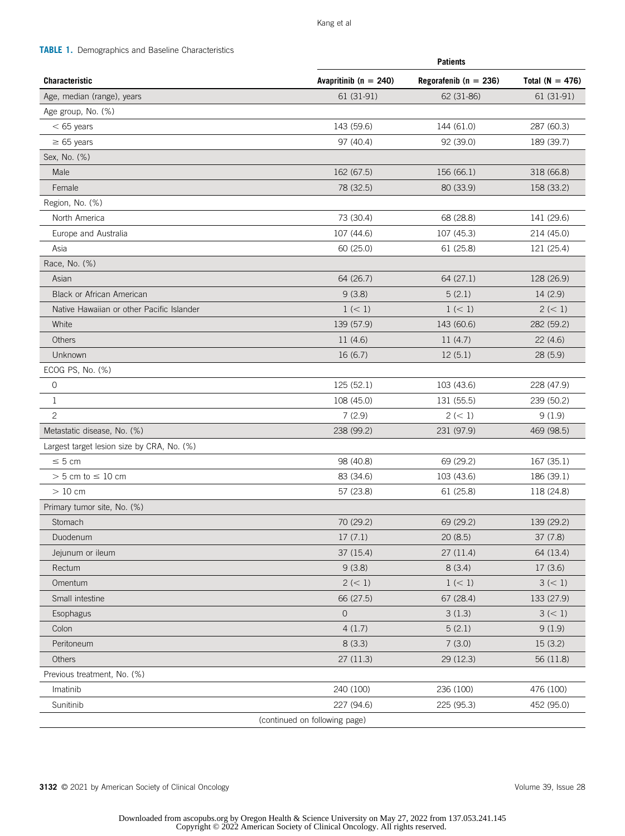<span id="page-4-0"></span>TABLE 1. Demographics and Baseline Characteristics

|                                            | <b>Patients</b>               |                           |                     |  |
|--------------------------------------------|-------------------------------|---------------------------|---------------------|--|
| <b>Characteristic</b>                      | Avapritinib ( $n = 240$ )     | Regorafenib ( $n = 236$ ) | Total ( $N = 476$ ) |  |
| Age, median (range), years                 | 61 (31-91)                    | 62 (31-86)                | 61 (31-91)          |  |
| Age group, No. (%)                         |                               |                           |                     |  |
| $< 65$ years                               | 143 (59.6)                    | 144 (61.0)                | 287 (60.3)          |  |
| $\geq 65$ years                            | 97 (40.4)                     | 92 (39.0)                 | 189 (39.7)          |  |
| Sex, No. (%)                               |                               |                           |                     |  |
| Male                                       | 162 (67.5)                    | 156 (66.1)                | 318 (66.8)          |  |
| Female                                     | 78 (32.5)                     | 80 (33.9)                 | 158 (33.2)          |  |
| Region, No. (%)                            |                               |                           |                     |  |
| North America                              | 73 (30.4)                     | 68 (28.8)                 | 141 (29.6)          |  |
| Europe and Australia                       | 107 (44.6)                    | 107 (45.3)                | 214 (45.0)          |  |
| Asia                                       | 60 (25.0)                     | 61 (25.8)                 | 121 (25.4)          |  |
| Race, No. (%)                              |                               |                           |                     |  |
| Asian                                      | 64 (26.7)                     | 64 (27.1)                 | 128 (26.9)          |  |
| <b>Black or African American</b>           | 9(3.8)                        | 5(2.1)                    | 14(2.9)             |  |
| Native Hawaiian or other Pacific Islander  | 1 (< 1)                       | 1 (< 1)                   | 2 (< 1)             |  |
| White                                      | 139 (57.9)                    | 143 (60.6)                | 282 (59.2)          |  |
| <b>Others</b>                              | 11(4.6)                       | 11(4.7)                   | 22(4.6)             |  |
| Unknown                                    | 16(6.7)                       | 12(5.1)                   | 28 (5.9)            |  |
| ECOG PS, No. (%)                           |                               |                           |                     |  |
| 0                                          | 125 (52.1)                    | 103 (43.6)                | 228 (47.9)          |  |
| $\mathbf{1}$                               | 108 (45.0)                    | 131 (55.5)                | 239 (50.2)          |  |
| $\mathbf{2}$                               | 7(2.9)                        | 2 (< 1)                   | 9(1.9)              |  |
| Metastatic disease, No. (%)                | 238 (99.2)                    | 231 (97.9)                | 469 (98.5)          |  |
| Largest target lesion size by CRA, No. (%) |                               |                           |                     |  |
| $\leq 5$ cm                                | 98 (40.8)                     | 69 (29.2)                 | 167 (35.1)          |  |
| $> 5$ cm to $\leq 10$ cm                   | 83 (34.6)                     | 103 (43.6)                | 186 (39.1)          |  |
| $>10$ cm                                   | 57 (23.8)                     | 61(25.8)                  | 118 (24.8)          |  |
| Primary tumor site, No. (%)                |                               |                           |                     |  |
| Stomach                                    | 70 (29.2)                     | 69 (29.2)                 | 139 (29.2)          |  |
| Duodenum                                   | 17(7.1)                       | 20(8.5)                   | 37 (7.8)            |  |
| Jejunum or ileum                           | 37 (15.4)                     | 27(11.4)                  | 64 (13.4)           |  |
| Rectum                                     | 9(3.8)                        | 8(3.4)                    | 17(3.6)             |  |
| Omentum                                    | 2 (< 1)                       | 1 (< 1)                   | 3 (< 1)             |  |
| Small intestine                            | 66 (27.5)                     | 67 (28.4)                 | 133 (27.9)          |  |
| Esophagus                                  | $\overline{O}$                | 3(1.3)                    | 3 (< 1)             |  |
| Colon                                      | 4(1.7)                        | 5(2.1)                    | 9(1.9)              |  |
| Peritoneum                                 | 8(3.3)                        | 7(3.0)                    | 15(3.2)             |  |
| Others                                     | 27 (11.3)                     | 29 (12.3)                 | 56 (11.8)           |  |
| Previous treatment, No. (%)                |                               |                           |                     |  |
| Imatinib                                   | 240 (100)                     | 236 (100)                 | 476 (100)           |  |
| Sunitinib                                  | 227 (94.6)                    | 225 (95.3)                | 452 (95.0)          |  |
|                                            | (continued on following page) |                           |                     |  |

3132 © 2021 by American Society of Clinical Oncology **Volume 39, Issue 28** Volume 39, Issue 28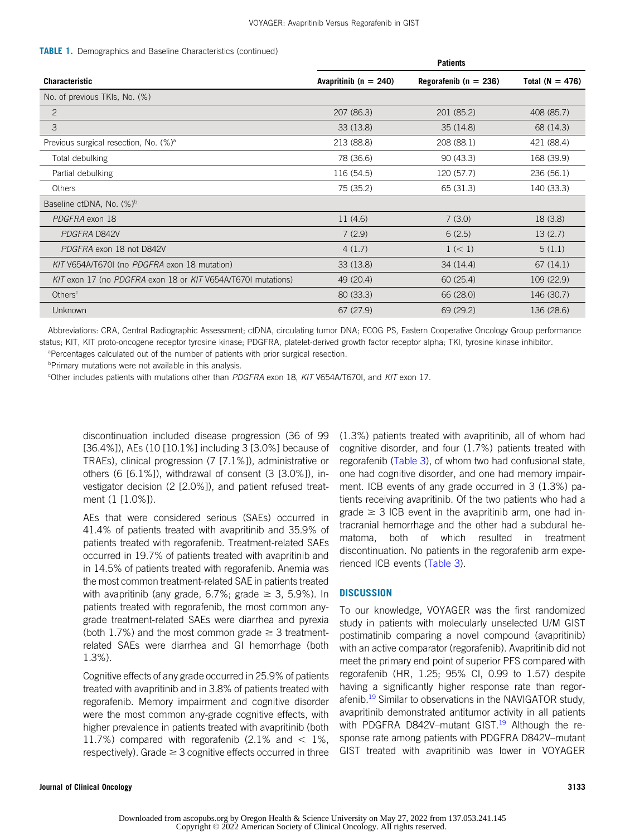#### **TABLE 1.** Demographics and Baseline Characteristics (continued)

|                                                              | <b>Patients</b>           |                           |                     |  |  |
|--------------------------------------------------------------|---------------------------|---------------------------|---------------------|--|--|
| Characteristic                                               | Avapritinib ( $n = 240$ ) | Regorafenib ( $n = 236$ ) | Total ( $N = 476$ ) |  |  |
| No. of previous TKIs, No. (%)                                |                           |                           |                     |  |  |
| $\mathbf{2}$                                                 | 207 (86.3)                | 201 (85.2)                | 408 (85.7)          |  |  |
| 3                                                            | 33(13.8)                  | 35(14.8)                  | 68 (14.3)           |  |  |
| Previous surgical resection, No. (%) <sup>a</sup>            | 213 (88.8)                | 208 (88.1)                | 421 (88.4)          |  |  |
| Total debulking                                              | 78 (36.6)                 | 90(43.3)                  | 168 (39.9)          |  |  |
| Partial debulking                                            | 116 (54.5)                | 120 (57.7)                | 236 (56.1)          |  |  |
| <b>Others</b>                                                | 75 (35.2)                 | 65 (31.3)                 | 140 (33.3)          |  |  |
| Baseline ctDNA, No. (%) <sup>b</sup>                         |                           |                           |                     |  |  |
| PDGFRA exon 18                                               | 11 (4.6)                  | 7(3.0)                    | 18(3.8)             |  |  |
| PDGFRA D842V                                                 | 7(2.9)                    | 6(2.5)                    | 13(2.7)             |  |  |
| PDGFRA exon 18 not D842V                                     | 4(1.7)                    | 1 (< 1)                   | 5(1.1)              |  |  |
| KIT V654A/T670I (no PDGFRA exon 18 mutation)                 | 33 (13.8)                 | 34 (14.4)                 | 67 (14.1)           |  |  |
| KIT exon 17 (no PDGFRA exon 18 or KIT V654A/T670I mutations) | 49 (20.4)                 | 60(25.4)                  | 109 (22.9)          |  |  |
| Others <sup>c</sup>                                          | 80 (33.3)                 | 66 (28.0)                 | 146 (30.7)          |  |  |
| <b>Unknown</b>                                               | 67 (27.9)                 | 69 (29.2)                 | 136 (28.6)          |  |  |

Abbreviations: CRA, Central Radiographic Assessment; ctDNA, circulating tumor DNA; ECOG PS, Eastern Cooperative Oncology Group performance status; KIT, KIT proto-oncogene receptor tyrosine kinase; PDGFRA, platelet-derived growth factor receptor alpha; TKI, tyrosine kinase inhibitor. <sup>a</sup>Percentages calculated out of the number of patients with prior surgical resection.

**Primary mutations were not available in this analysis.** 

c Other includes patients with mutations other than PDGFRA exon 18, KIT V654A/T670I, and KIT exon 17.

discontinuation included disease progression (36 of 99 [36.4%]), AEs (10 [10.1%] including 3 [3.0%] because of TRAEs), clinical progression (7 [7.1%]), administrative or others (6 [6.1%]), withdrawal of consent (3 [3.0%]), investigator decision (2 [2.0%]), and patient refused treatment (1 [1.0%]).

AEs that were considered serious (SAEs) occurred in 41.4% of patients treated with avapritinib and 35.9% of patients treated with regorafenib. Treatment-related SAEs occurred in 19.7% of patients treated with avapritinib and in 14.5% of patients treated with regorafenib. Anemia was the most common treatment-related SAE in patients treated with avapritinib (any grade, 6.7%; grade  $\geq$  3, 5.9%). In patients treated with regorafenib, the most common anygrade treatment-related SAEs were diarrhea and pyrexia (both 1.7%) and the most common grade  $\geq$  3 treatmentrelated SAEs were diarrhea and GI hemorrhage (both 1.3%).

Cognitive effects of any grade occurred in 25.9% of patients treated with avapritinib and in 3.8% of patients treated with regorafenib. Memory impairment and cognitive disorder were the most common any-grade cognitive effects, with higher prevalence in patients treated with avapritinib (both 11.7%) compared with regorafenib (2.1% and  $<$  1%, respectively). Grade  $\geq 3$  cognitive effects occurred in three (1.3%) patients treated with avapritinib, all of whom had cognitive disorder, and four (1.7%) patients treated with regorafenib ([Table 3\)](#page-8-0), of whom two had confusional state, one had cognitive disorder, and one had memory impairment. ICB events of any grade occurred in 3 (1.3%) patients receiving avapritinib. Of the two patients who had a grade  $\geq$  3 ICB event in the avapritinib arm, one had intracranial hemorrhage and the other had a subdural hematoma, both of which resulted in treatment discontinuation. No patients in the regorafenib arm experienced ICB events [\(Table 3\)](#page-8-0).

#### **DISCUSSION**

To our knowledge, VOYAGER was the first randomized study in patients with molecularly unselected U/M GIST postimatinib comparing a novel compound (avapritinib) with an active comparator (regorafenib). Avapritinib did not meet the primary end point of superior PFS compared with regorafenib (HR, 1.25; 95% CI, 0.99 to 1.57) despite having a significantly higher response rate than regor-afenib.<sup>[19](#page-10-15)</sup> Similar to observations in the NAVIGATOR study, avapritinib demonstrated antitumor activity in all patients with PDGFRA D842V-mutant GIST.<sup>[19](#page-10-15)</sup> Although the response rate among patients with PDGFRA D842V–mutant GIST treated with avapritinib was lower in VOYAGER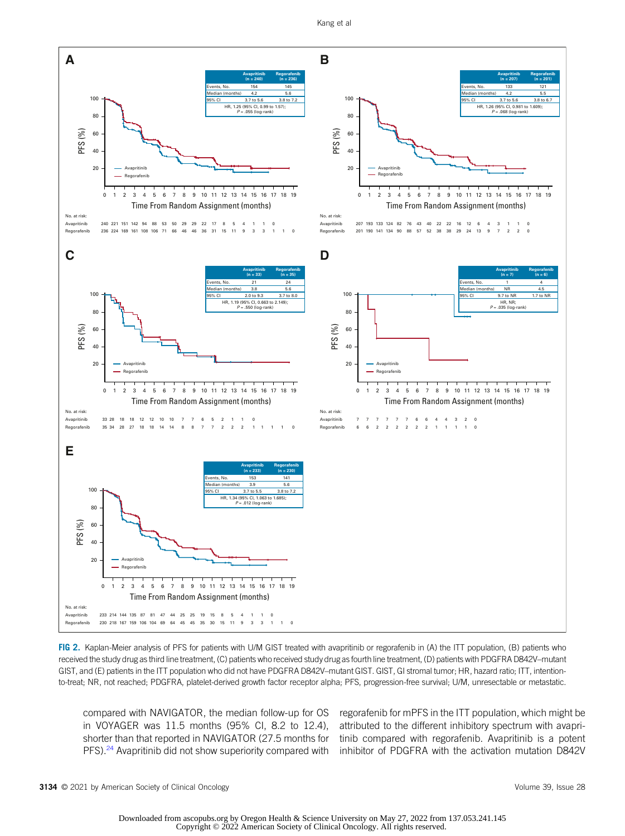

<span id="page-6-0"></span>FIG 2. Kaplan-Meier analysis of PFS for patients with U/M GIST treated with avapritinib or regorafenib in (A) the ITT population, (B) patients who received the study drug as third line treatment, (C) patients who received study drug as fourth line treatment, (D) patients with PDGFRA D842V–mutant GIST, and (E) patients in the ITT population who did not have PDGFRA D842V–mutant GIST. GIST, GI stromal tumor; HR, hazard ratio; ITT, intentionto-treat; NR, not reached; PDGFRA, platelet-derived growth factor receptor alpha; PFS, progression-free survival; U/M, unresectable or metastatic.

compared with NAVIGATOR, the median follow-up for OS in VOYAGER was 11.5 months (95% CI, 8.2 to 12.4), shorter than that reported in NAVIGATOR (27.5 months for PFS).<sup>[24](#page-11-4)</sup> Avapritinib did not show superiority compared with

regorafenib for mPFS in the ITT population, which might be attributed to the different inhibitory spectrum with avapritinib compared with regorafenib. Avapritinib is a potent inhibitor of PDGFRA with the activation mutation D842V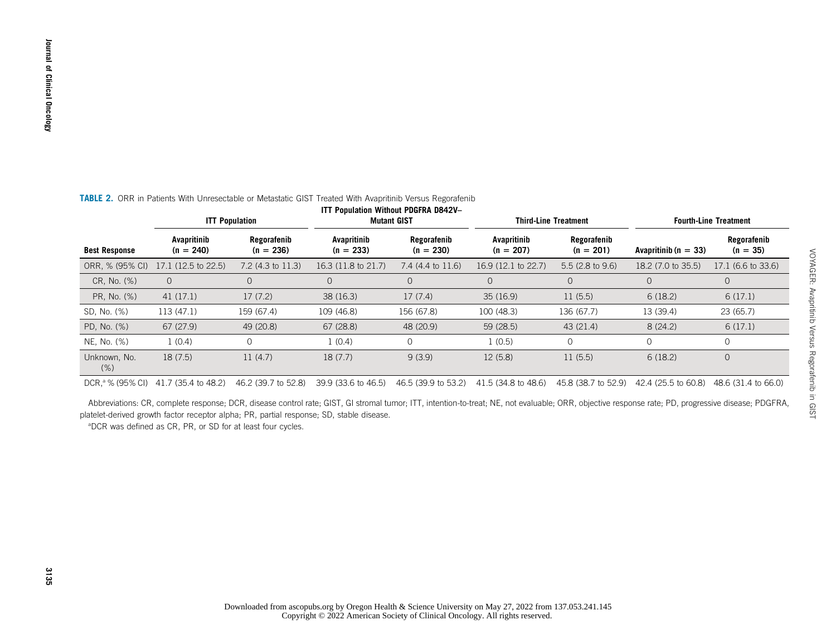<span id="page-7-0"></span>

| <b>ITT Population</b>                                                                                     | <b>Mutant GIST</b>                   |
|-----------------------------------------------------------------------------------------------------------|--------------------------------------|
| TABLE 2. ORR in Patients With Unresectable or Metastatic GIST Treated With Avapritinib Versus Regorafenib | ITT Population Without PDGFRA D842V- |
|                                                                                                           |                                      |
|                                                                                                           |                                      |
|                                                                                                           |                                      |
|                                                                                                           |                                      |
|                                                                                                           |                                      |

|                              | <b>ITT Population</b>      |                            | <b>Mutant GIST</b>         |                            | <b>Third-Line Treatment</b> |                            | <b>Fourth-Line Treatment</b> |                           |
|------------------------------|----------------------------|----------------------------|----------------------------|----------------------------|-----------------------------|----------------------------|------------------------------|---------------------------|
| <b>Best Response</b>         | Avapritinib<br>$(n = 240)$ | Regorafenib<br>$(n = 236)$ | Avapritinib<br>$(n = 233)$ | Regorafenib<br>$(n = 230)$ | Avapritinib<br>$(n = 207)$  | Regorafenib<br>$(n = 201)$ | Avapritinib ( $n = 33$ )     | Regorafenib<br>$(n = 35)$ |
| ORR, % (95% CI)              | 17.1 (12.5 to 22.5)        | 7.2 (4.3 to 11.3)          | 16.3 (11.8 to 21.7)        | 7.4 (4.4 to 11.6)          | 16.9 (12.1 to 22.7)         | 5.5 (2.8 to 9.6)           | 18.2 (7.0 to 35.5)           | 17.1 (6.6 to 33.6)        |
| CR, No. (%)                  | $\overline{0}$             |                            | 0                          |                            |                             |                            | $\overline{0}$               | $\circ$                   |
| PR, No. (%)                  | 41(17.1)                   | 17(7.2)                    | 38(16.3)                   | 17(7.4)                    | 35(16.9)                    | 11(5.5)                    | 6(18.2)                      | 6(17.1)                   |
| SD, No. (%)                  | 113 (47.1)                 | 159 (67.4)                 | 109 (46.8)                 | 156 (67.8)                 | 100 (48.3)                  | 136 (67.7)                 | 13 (39.4)                    | 23 (65.7)                 |
| PD, No. (%)                  | 67(27.9)                   | 49 (20.8)                  | 67(28.8)                   | 48 (20.9)                  | 59 (28.5)                   | 43 (21.4)                  | 8(24.2)                      | 6(17.1)                   |
| NE, No. (%)                  | 1(0.4)                     |                            | (0.4)                      |                            | 1(0.5)                      |                            | 0                            | $\Omega$                  |
| Unknown, No.<br>$(\% )$      | 18(7.5)                    | 11(4.7)                    | 18(7.7)                    | 9(3.9)                     | 12(5.8)                     | 11(5.5)                    | 6(18.2)                      | $\overline{0}$            |
| DCR, <sup>a</sup> % (95% CI) | 41.7 (35.4 to 48.2)        | 46.2 (39.7 to 52.8)        | 39.9 (33.6 to 46.5)        | 46.5 (39.9 to 53.2)        | 41.5 (34.8 to 48.6)         | 45.8 (38.7 to 52.9)        | 42.4 (25.5 to 60.8)          | 48.6 (31.4 to 66.0)       |

Abbreviations: CR, complete response; DCR, disease control rate; GIST, GI stromal tumor; ITT, intention-to-treat; NE, not evaluable; ORR, objective response rate; PD, progressive disease; PDGFRA, platelet-derived growth factor receptor alpha; PR, partial response; SD, stable disease.

aDCR was defined as CR, PR, or SD for at least four cycles.

VOYAGER: Avapritinib Versus Regorafenib in GIST

VOYAGER: Avapritinib Versus Regorafenib in GIST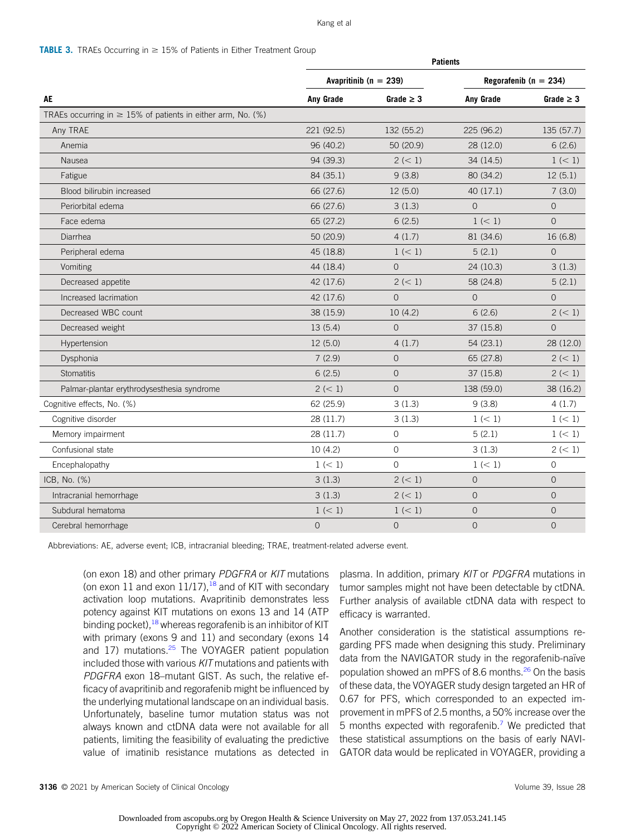#### Kang et al

#### <span id="page-8-0"></span>**TABLE 3.** TRAEs Occurring in  $\geq$  15% of Patients in Either Treatment Group

|                                                                  | <b>Patients</b> |                           |                           |                |  |
|------------------------------------------------------------------|-----------------|---------------------------|---------------------------|----------------|--|
|                                                                  |                 | Avapritinib ( $n = 239$ ) | Regorafenib ( $n = 234$ ) |                |  |
| AE                                                               | Any Grade       | Grade $\geq 3$            | Any Grade                 | Grade $\geq 3$ |  |
| TRAEs occurring in $\geq$ 15% of patients in either arm, No. (%) |                 |                           |                           |                |  |
| Any TRAE                                                         | 221 (92.5)      | 132 (55.2)                | 225 (96.2)                | 135(57.7)      |  |
| Anemia                                                           | 96 (40.2)       | 50 (20.9)                 | 28 (12.0)                 | 6(2.6)         |  |
| Nausea                                                           | 94 (39.3)       | 2 (< 1)                   | 34 (14.5)                 | 1 (< 1)        |  |
| Fatigue                                                          | 84 (35.1)       | 9(3.8)                    | 80 (34.2)                 | 12(5.1)        |  |
| Blood bilirubin increased                                        | 66 (27.6)       | 12(5.0)                   | 40(17.1)                  | 7(3.0)         |  |
| Periorbital edema                                                | 66 (27.6)       | 3(1.3)                    | $\Omega$                  | $\overline{0}$ |  |
| Face edema                                                       | 65 (27.2)       | 6(2.5)                    | 1 (< 1)                   | $\Omega$       |  |
| Diarrhea                                                         | 50 (20.9)       | 4(1.7)                    | 81 (34.6)                 | 16 (6.8)       |  |
| Peripheral edema                                                 | 45 (18.8)       | 1 (< 1)                   | 5(2.1)                    | $\overline{0}$ |  |
| Vomiting                                                         | 44 (18.4)       | $\Omega$                  | 24 (10.3)                 | 3(1.3)         |  |
| Decreased appetite                                               | 42 (17.6)       | 2 (< 1)                   | 58 (24.8)                 | 5(2.1)         |  |
| Increased lacrimation                                            | 42 (17.6)       | $\Omega$                  | $\Omega$                  | $\Omega$       |  |
| Decreased WBC count                                              | 38 (15.9)       | 10(4.2)                   | 6(2.6)                    | 2 (< 1)        |  |
| Decreased weight                                                 | 13(5.4)         | $\overline{O}$            | 37 (15.8)                 | $\overline{0}$ |  |
| Hypertension                                                     | 12(5.0)         | 4(1.7)                    | 54(23.1)                  | 28 (12.0)      |  |
| Dysphonia                                                        | 7(2.9)          | $\Omega$                  | 65 (27.8)                 | 2 (< 1)        |  |
| <b>Stomatitis</b>                                                | 6(2.5)          | $\mathbf{O}$              | 37 (15.8)                 | 2 (< 1)        |  |
| Palmar-plantar erythrodysesthesia syndrome                       | 2 (< 1)         | $\overline{O}$            | 138 (59.0)                | 38 (16.2)      |  |
| Cognitive effects, No. (%)                                       | 62 (25.9)       | 3(1.3)                    | 9(3.8)                    | 4(1.7)         |  |
| Cognitive disorder                                               | 28 (11.7)       | 3(1.3)                    | 1 (< 1)                   | 1 (< 1)        |  |
| Memory impairment                                                | 28 (11.7)       | $\circ$                   | 5(2.1)                    | 1 (< 1)        |  |
| Confusional state                                                | 10(4.2)         | $\mathbf{O}$              | 3(1.3)                    | 2 (< 1)        |  |
| Encephalopathy                                                   | 1 (< 1)         | $\Omega$                  | 1 (< 1)                   | 0              |  |
| ICB, No. (%)                                                     | 3(1.3)          | 2 (< 1)                   | $\mathbf 0$               | $\mathbf 0$    |  |
| Intracranial hemorrhage                                          | 3(1.3)          | 2 (< 1)                   | $\overline{O}$            | $\overline{0}$ |  |
| Subdural hematoma                                                | 1 (< 1)         | 1 (< 1)                   | $\overline{O}$            | $\overline{0}$ |  |
| Cerebral hemorrhage                                              | $\mathbf 0$     | $\mathbf 0$               | $\mathbf 0$               | $\mathbf 0$    |  |

Abbreviations: AE, adverse event; ICB, intracranial bleeding; TRAE, treatment-related adverse event.

(on exon 18) and other primary PDGFRA or KIT mutations (on exon 11 and exon  $11/17$ ),<sup>[18](#page-10-14)</sup> and of KIT with secondary activation loop mutations. Avapritinib demonstrates less potency against KIT mutations on exons 13 and 14 (ATP binding pocket),<sup>[18](#page-10-14)</sup> whereas regorafenib is an inhibitor of KIT with primary (exons 9 and 11) and secondary (exons 14 and  $17$ ) mutations.<sup>[25](#page-11-5)</sup> The VOYAGER patient population included those with various KIT mutations and patients with PDGFRA exon 18–mutant GIST. As such, the relative efficacy of avapritinib and regorafenib might be influenced by the underlying mutational landscape on an individual basis. Unfortunately, baseline tumor mutation status was not always known and ctDNA data were not available for all patients, limiting the feasibility of evaluating the predictive value of imatinib resistance mutations as detected in plasma. In addition, primary KIT or PDGFRA mutations in tumor samples might not have been detectable by ctDNA. Further analysis of available ctDNA data with respect to efficacy is warranted.

Another consideration is the statistical assumptions regarding PFS made when designing this study. Preliminary data from the NAVIGATOR study in the regorafenib-naïve population showed an mPFS of 8.6 months.<sup>26</sup> On the basis of these data, the VOYAGER study design targeted an HR of 0.67 for PFS, which corresponded to an expected improvement in mPFS of 2.5 months, a 50% increase over the 5 months expected with regorafenib.<sup>[7](#page-10-6)</sup> We predicted that these statistical assumptions on the basis of early NAVI-GATOR data would be replicated in VOYAGER, providing a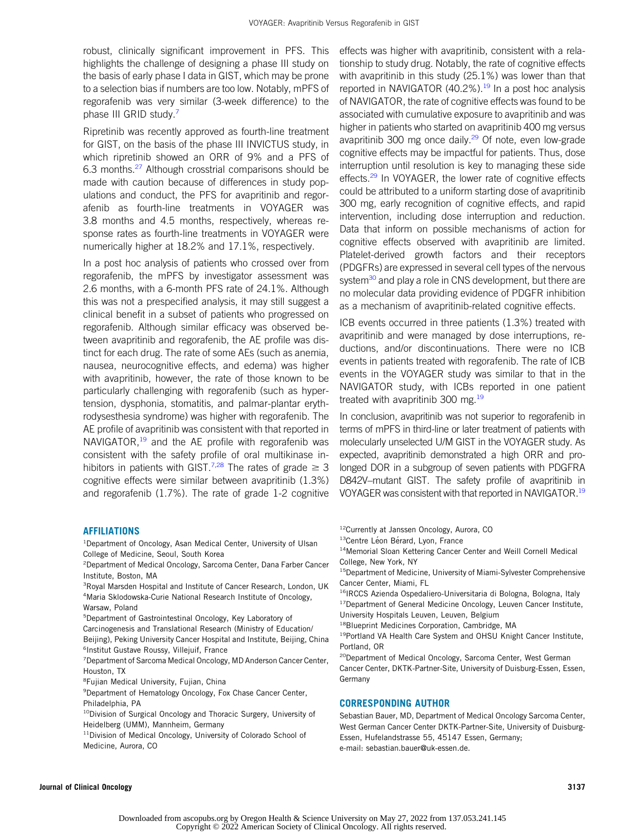robust, clinically significant improvement in PFS. This highlights the challenge of designing a phase III study on the basis of early phase I data in GIST, which may be prone to a selection bias if numbers are too low. Notably, mPFS of regorafenib was very similar (3-week difference) to the phase III GRID study.<sup>[7](#page-10-6)</sup>

Ripretinib was recently approved as fourth-line treatment for GIST, on the basis of the phase III INVICTUS study, in which ripretinib showed an ORR of 9% and a PFS of 6.3 months.[27](#page-11-7) Although crosstrial comparisons should be made with caution because of differences in study populations and conduct, the PFS for avapritinib and regorafenib as fourth-line treatments in VOYAGER was 3.8 months and 4.5 months, respectively, whereas response rates as fourth-line treatments in VOYAGER were numerically higher at 18.2% and 17.1%, respectively.

In a post hoc analysis of patients who crossed over from regorafenib, the mPFS by investigator assessment was 2.6 months, with a 6-month PFS rate of 24.1%. Although this was not a prespecified analysis, it may still suggest a clinical benefit in a subset of patients who progressed on regorafenib. Although similar efficacy was observed between avapritinib and regorafenib, the AE profile was distinct for each drug. The rate of some AEs (such as anemia, nausea, neurocognitive effects, and edema) was higher with avapritinib, however, the rate of those known to be particularly challenging with regorafenib (such as hypertension, dysphonia, stomatitis, and palmar-plantar erythrodysesthesia syndrome) was higher with regorafenib. The AE profile of avapritinib was consistent with that reported in NAVIGATOR,  $19$  and the AE profile with regorafenib was consistent with the safety profile of oral multikinase in-hibitors in patients with GIST.<sup>[7](#page-10-6),[28](#page-11-8)</sup> The rates of grade  $\geq 3$ cognitive effects were similar between avapritinib (1.3%) and regorafenib (1.7%). The rate of grade 1-2 cognitive effects was higher with avapritinib, consistent with a relationship to study drug. Notably, the rate of cognitive effects with avapritinib in this study (25.1%) was lower than that reported in NAVIGATOR (40.2%).<sup>[19](#page-10-15)</sup> In a post hoc analysis of NAVIGATOR, the rate of cognitive effects was found to be associated with cumulative exposure to avapritinib and was higher in patients who started on avapritinib 400 mg versus avapritinib 300 mg once daily.<sup>[29](#page-11-9)</sup> Of note, even low-grade cognitive effects may be impactful for patients. Thus, dose interruption until resolution is key to managing these side effects.<sup>[29](#page-11-9)</sup> In VOYAGER, the lower rate of cognitive effects could be attributed to a uniform starting dose of avapritinib 300 mg, early recognition of cognitive effects, and rapid intervention, including dose interruption and reduction. Data that inform on possible mechanisms of action for cognitive effects observed with avapritinib are limited. Platelet-derived growth factors and their receptors (PDGFRs) are expressed in several cell types of the nervous system<sup>30</sup> and play a role in CNS development, but there are no molecular data providing evidence of PDGFR inhibition as a mechanism of avapritinib-related cognitive effects.

ICB events occurred in three patients (1.3%) treated with avapritinib and were managed by dose interruptions, reductions, and/or discontinuations. There were no ICB events in patients treated with regorafenib. The rate of ICB events in the VOYAGER study was similar to that in the NAVIGATOR study, with ICBs reported in one patient treated with avapritinib 300 mg.<sup>[19](#page-10-15)</sup>

In conclusion, avapritinib was not superior to regorafenib in terms of mPFS in third-line or later treatment of patients with molecularly unselected U/M GIST in the VOYAGER study. As expected, avapritinib demonstrated a high ORR and prolonged DOR in a subgroup of seven patients with PDGFRA D842V–mutant GIST. The safety profile of avapritinib in VOYAGER was consistent with that reported in NAVIGATOR[.19](#page-10-15)

#### AFFILIATIONS

- <sup>1</sup>Department of Oncology, Asan Medical Center, University of Ulsan College of Medicine, Seoul, South Korea
- 2 Department of Medical Oncology, Sarcoma Center, Dana Farber Cancer Institute, Boston, MA
- <sup>3</sup>Royal Marsden Hospital and Institute of Cancer Research, London, UK 4 Maria Sklodowska-Curie National Research Institute of Oncology, Warsaw, Poland
- 5 Department of Gastrointestinal Oncology, Key Laboratory of
- Carcinogenesis and Translational Research (Ministry of Education/ Beijing), Peking University Cancer Hospital and Institute, Beijing, China 6 Institut Gustave Roussy, Villejuif, France
- <sup>7</sup> Department of Sarcoma Medical Oncology, MD Anderson Cancer Center, Houston, TX
- 8 Fujian Medical University, Fujian, China
- <sup>9</sup> Department of Hematology Oncology, Fox Chase Cancer Center, Philadelphia, PA
- <sup>10</sup>Division of Surgical Oncology and Thoracic Surgery, University of Heidelberg (UMM), Mannheim, Germany
- <sup>11</sup>Division of Medical Oncology, University of Colorado School of Medicine, Aurora, CO
- <sup>12</sup>Currently at Janssen Oncology, Aurora, CO
- <sup>13</sup>Centre Léon Bérard, Lyon, France
- 14Memorial Sloan Kettering Cancer Center and Weill Cornell Medical College, New York, NY
- <sup>15</sup>Department of Medicine, University of Miami-Sylvester Comprehensive Cancer Center, Miami, FL
- <sup>16</sup>IRCCS Azienda Ospedaliero-Universitaria di Bologna, Bologna, Italy
- <sup>17</sup>Department of General Medicine Oncology, Leuven Cancer Institute,
- University Hospitals Leuven, Leuven, Belgium
- 18Blueprint Medicines Corporation, Cambridge, MA
- 19Portland VA Health Care System and OHSU Knight Cancer Institute, Portland, OR
- <sup>20</sup>Department of Medical Oncology, Sarcoma Center, West German Cancer Center, DKTK-Partner-Site, University of Duisburg-Essen, Essen, Germany

#### CORRESPONDING AUTHOR

Sebastian Bauer, MD, Department of Medical Oncology Sarcoma Center, West German Cancer Center DKTK-Partner-Site, University of Duisburg-Essen, Hufelandstrasse 55, 45147 Essen, Germany; e-mail: [sebastian.bauer@uk-essen.de](mailto:sebastian.bauer@uk-essen.de).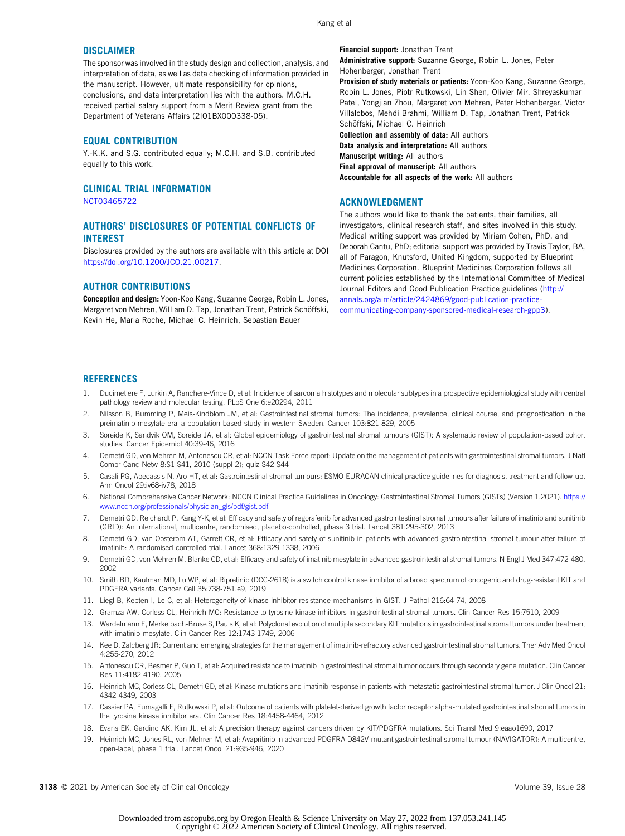Kang et al

#### **DISCLAIMER**

The sponsor was involved in the study design and collection, analysis, and interpretation of data, as well as data checking of information provided in the manuscript. However, ultimate responsibility for opinions, conclusions, and data interpretation lies with the authors. M.C.H. received partial salary support from a Merit Review grant from the Department of Veterans Affairs (2I01BX000338-05).

#### EQUAL CONTRIBUTION

Y.-K.K. and S.G. contributed equally; M.C.H. and S.B. contributed equally to this work.

#### CLINICAL TRIAL INFORMATION

[NCT03465722](https://www.clinicaltrials.gov/ct2/show/NCT03465722)

#### AUTHORS' DISCLOSURES OF POTENTIAL CONFLICTS OF INTEREST

Disclosures provided by the authors are available with this article at DOI [https://doi.org/10.1200/JCO.21.00217.](https://ascopubs.org/doi/full/10.1200/JCO.21.00217)

#### AUTHOR CONTRIBUTIONS

Conception and design: Yoon-Koo Kang, Suzanne George, Robin L. Jones, Margaret von Mehren, William D. Tap, Jonathan Trent, Patrick Schöffski, Kevin He, Maria Roche, Michael C. Heinrich, Sebastian Bauer

Financial support: Jonathan Trent

Administrative support: Suzanne George, Robin L. Jones, Peter Hohenberger, Jonathan Trent

Provision of study materials or patients: Yoon-Koo Kang, Suzanne George, Robin L. Jones, Piotr Rutkowski, Lin Shen, Olivier Mir, Shreyaskumar Patel, Yongjian Zhou, Margaret von Mehren, Peter Hohenberger, Victor Villalobos, Mehdi Brahmi, William D. Tap, Jonathan Trent, Patrick Schöffski, Michael C. Heinrich

Collection and assembly of data: All authors Data analysis and interpretation: All authors Manuscript writing: All authors Final approval of manuscript: All authors Accountable for all aspects of the work: All authors

#### ACKNOWLEDGMENT

The authors would like to thank the patients, their families, all investigators, clinical research staff, and sites involved in this study. Medical writing support was provided by Miriam Cohen, PhD, and Deborah Cantu, PhD; editorial support was provided by Travis Taylor, BA, all of Paragon, Knutsford, United Kingdom, supported by Blueprint Medicines Corporation. Blueprint Medicines Corporation follows all current policies established by the International Committee of Medical Journal Editors and Good Publication Practice guidelines [\(http://](http://annals.org/aim/article/2424869/good-publication-practice-communicating-company-sponsored-medical-research-gpp3) [annals.org/aim/article/2424869/good-publication-practice](http://annals.org/aim/article/2424869/good-publication-practice-communicating-company-sponsored-medical-research-gpp3)[communicating-company-sponsored-medical-research-gpp3\)](http://annals.org/aim/article/2424869/good-publication-practice-communicating-company-sponsored-medical-research-gpp3).

#### **REFERENCES**

- <span id="page-10-0"></span>1. Ducimetiere F, Lurkin A, Ranchere-Vince D, et al: Incidence of sarcoma histotypes and molecular subtypes in a prospective epidemiological study with central pathology review and molecular testing. PLoS One 6:e20294, 2011
- <span id="page-10-1"></span>2. Nilsson B, Bumming P, Meis-Kindblom JM, et al: Gastrointestinal stromal tumors: The incidence, prevalence, clinical course, and prognostication in the preimatinib mesylate era–a population-based study in western Sweden. Cancer 103:821-829, 2005
- <span id="page-10-2"></span>3. Soreide K, Sandvik OM, Soreide JA, et al: Global epidemiology of gastrointestinal stromal tumours (GIST): A systematic review of population-based cohort studies. Cancer Epidemiol 40:39-46, 2016
- <span id="page-10-3"></span>4. Demetri GD, von Mehren M, Antonescu CR, et al: NCCN Task Force report: Update on the management of patients with gastrointestinal stromal tumors. J Natl Compr Canc Netw 8:S1-S41, 2010 (suppl 2); quiz S42-S44
- <span id="page-10-4"></span>5. Casali PG, Abecassis N, Aro HT, et al: Gastrointestinal stromal tumours: ESMO-EURACAN clinical practice guidelines for diagnosis, treatment and follow-up. Ann Oncol 29:iv68-iv78, 2018
- <span id="page-10-5"></span>6. National Comprehensive Cancer Network: NCCN Clinical Practice Guidelines in Oncology: Gastrointestinal Stromal Tumors (GISTs) (Version 1.2021). [https://](https://www.nccn.org/professionals/physician_gls/pdf/gist.pdf) [www.nccn.org/professionals/physician\\_gls/pdf/gist.pdf](https://www.nccn.org/professionals/physician_gls/pdf/gist.pdf)
- <span id="page-10-6"></span>7. Demetri GD, Reichardt P, Kang Y-K, et al: Efficacy and safety of regorafenib for advanced gastrointestinal stromal tumours after failure of imatinib and sunitinib (GRID): An international, multicentre, randomised, placebo-controlled, phase 3 trial. Lancet 381:295-302, 2013
- 8. Demetri GD, van Oosterom AT, Garrett CR, et al: Efficacy and safety of sunitinib in patients with advanced gastrointestinal stromal tumour after failure of imatinib: A randomised controlled trial. Lancet 368:1329-1338, 2006
- 9. Demetri GD, von Mehren M, Blanke CD, et al: Efficacy and safety of imatinib mesylate in advanced gastrointestinal stromal tumors. N Engl J Med 347:472-480, 2002
- <span id="page-10-7"></span>10. Smith BD, Kaufman MD, Lu WP, et al: Ripretinib (DCC-2618) is a switch control kinase inhibitor of a broad spectrum of oncogenic and drug-resistant KIT and PDGFRA variants. Cancer Cell 35:738-751.e9, 2019
- <span id="page-10-8"></span>11. Liegl B, Kepten I, Le C, et al: Heterogeneity of kinase inhibitor resistance mechanisms in GIST. J Pathol 216:64-74, 2008
- 12. Gramza AW, Corless CL, Heinrich MC: Resistance to tyrosine kinase inhibitors in gastrointestinal stromal tumors. Clin Cancer Res 15:7510, 2009
- <span id="page-10-10"></span>13. Wardelmann E, Merkelbach-Bruse S, Pauls K, et al: Polyclonal evolution of multiple secondary KIT mutations in gastrointestinal stromal tumors under treatment with imatinib mesylate. Clin Cancer Res 12:1743-1749, 2006
- <span id="page-10-9"></span>14. Kee D, Zalcberg JR: Current and emerging strategies for the management of imatinib-refractory advanced gastrointestinal stromal tumors. Ther Adv Med Oncol 4:255-270, 2012
- <span id="page-10-11"></span>15. Antonescu CR, Besmer P, Guo T, et al: Acquired resistance to imatinib in gastrointestinal stromal tumor occurs through secondary gene mutation. Clin Cancer Res 11:4182-4190, 2005
- <span id="page-10-12"></span>16. Heinrich MC, Corless CL, Demetri GD, et al: Kinase mutations and imatinib response in patients with metastatic gastrointestinal stromal tumor. J Clin Oncol 21: 4342-4349, 2003
- <span id="page-10-13"></span>17. Cassier PA, Fumagalli E, Rutkowski P, et al: Outcome of patients with platelet-derived growth factor receptor alpha-mutated gastrointestinal stromal tumors in the tyrosine kinase inhibitor era. Clin Cancer Res 18:4458-4464, 2012
- <span id="page-10-14"></span>18. Evans EK, Gardino AK, Kim JL, et al: A precision therapy against cancers driven by KIT/PDGFRA mutations. Sci Transl Med 9:eaao1690, 2017
- <span id="page-10-15"></span>19. Heinrich MC, Jones RL, von Mehren M, et al: Avapritinib in advanced PDGFRA D842V-mutant gastrointestinal stromal tumour (NAVIGATOR): A multicentre, open-label, phase 1 trial. Lancet Oncol 21:935-946, 2020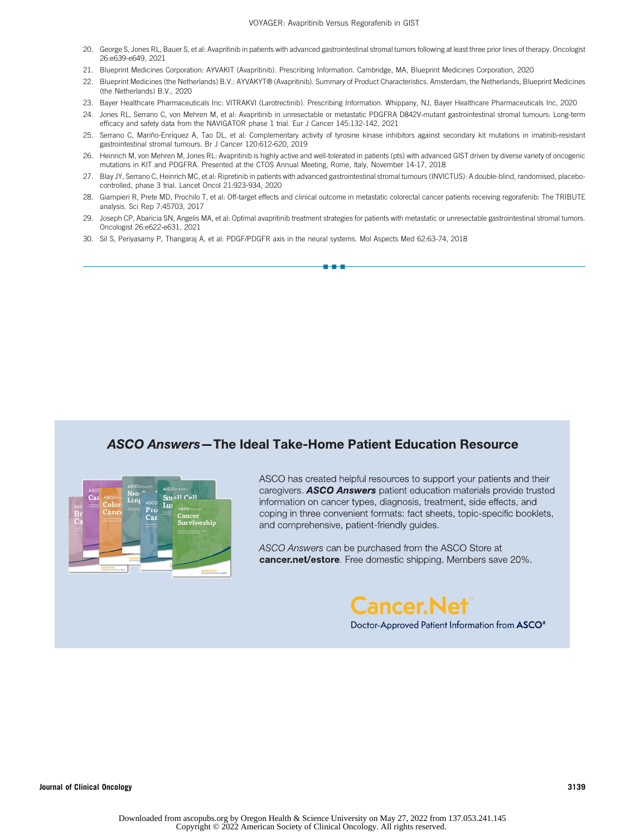- <span id="page-11-0"></span>20. George S, Jones RL, Bauer S, et al: Avapritinib in patients with advanced gastrointestinal stromal tumors following at least three prior lines of therapy. Oncologist 26:e639-e649, 2021
- <span id="page-11-1"></span>21. Blueprint Medicines Corporation: AYVAKIT (Avapritinib). Prescribing Information. Cambridge, MA, Blueprint Medicines Corporation, 2020
- <span id="page-11-2"></span>22. Blueprint Medicines (the Netherlands) B.V.: AYVAKYT® (Avapritinib). Summary of Product Characteristics. Amsterdam, the Netherlands, Blueprint Medicines (the Netherlands) B.V., 2020
- <span id="page-11-3"></span>23. Bayer Healthcare Pharmaceuticals Inc: VITRAKVI (Larotrectinib). Prescribing Information. Whippany, NJ, Bayer Healthcare Pharmaceuticals Inc, 2020
- <span id="page-11-4"></span>24. Jones RL, Serrano C, von Mehren M, et al: Avapritinib in unresectable or metastatic PDGFRA D842V-mutant gastrointestinal stromal tumours: Long-term efficacy and safety data from the NAVIGATOR phase 1 trial. Eur J Cancer 145:132-142, 2021
- <span id="page-11-5"></span>25. Serrano C, Mariño-Enríquez A, Tao DL, et al: Complementary activity of tyrosine kinase inhibitors against secondary kit mutations in imatinib-resistant gastrointestinal stromal tumours. Br J Cancer 120:612-620, 2019
- <span id="page-11-6"></span>26. Heinrich M, von Mehren M, Jones RL: Avapritinib is highly active and well-tolerated in patients (pts) with advanced GIST driven by diverse variety of oncogenic mutations in KIT and PDGFRA. Presented at the CTOS Annual Meeting, Rome, Italy, November 14-17, 2018
- <span id="page-11-7"></span>27. Blay JY, Serrano C, Heinrich MC, et al: Ripretinib in patients with advanced gastrointestinal stromal tumours (INVICTUS): A double-blind, randomised, placebocontrolled, phase 3 trial. Lancet Oncol 21:923-934, 2020
- <span id="page-11-8"></span>28. Giampieri R, Prete MD, Prochilo T, et al: Off-target effects and clinical outcome in metastatic colorectal cancer patients receiving regorafenib: The TRIBUTE analysis. Sci Rep 7:45703, 2017
- <span id="page-11-9"></span>29. Joseph CP, Abaricia SN, Angelis MA, et al: Optimal avapritinib treatment strategies for patients with metastatic or unresectable gastrointestinal stromal tumors. Oncologist 26:e622-e631, 2021

n-a-a

<span id="page-11-10"></span>30. Sil S, Periyasamy P, Thangaraj A, et al: PDGF/PDGFR axis in the neural systems. Mol Aspects Med 62:63-74, 2018

#### **ASCO Answers-The Ideal Take-Home Patient Education Resource**



ASCO has created helpful resources to support your patients and their caregivers. **ASCO Answers** patient education materials provide trusted information on cancer types, diagnosis, treatment, side effects, and coping in three convenient formats: fact sheets, topic-specific booklets, and comprehensive, patient-friendly guides.

ASCO Answers can be purchased from the ASCO Store at **cancer.net/estore.** Free domestic shipping. Members save 20%.

## Cancer.Net<sup>'</sup> Doctor-Approved Patient Information from ASCO<sup>®</sup>